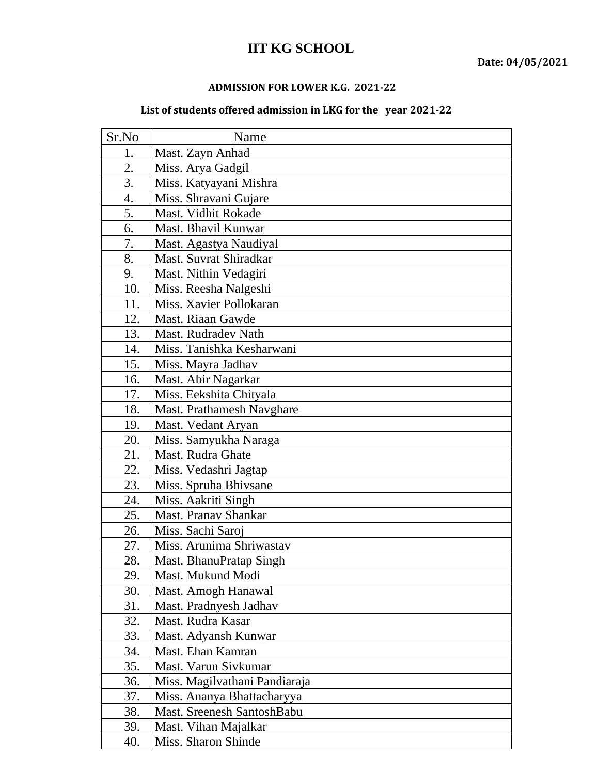## **IIT KG SCHOOL**

## **ADMISSION FOR LOWER K.G. 2021-22**

## **List of students offered admission in LKG for the year 2021-22**

| Sr.No | Name                          |
|-------|-------------------------------|
| 1.    | Mast. Zayn Anhad              |
| 2.    | Miss. Arya Gadgil             |
| 3.    | Miss. Katyayani Mishra        |
| 4.    | Miss. Shravani Gujare         |
| 5.    | Mast. Vidhit Rokade           |
| 6.    | Mast. Bhavil Kunwar           |
| 7.    | Mast. Agastya Naudiyal        |
| 8.    | Mast. Suvrat Shiradkar        |
| 9.    | Mast. Nithin Vedagiri         |
| 10.   | Miss. Reesha Nalgeshi         |
| 11.   | Miss. Xavier Pollokaran       |
| 12.   | Mast. Riaan Gawde             |
| 13.   | Mast. Rudradev Nath           |
| 14.   | Miss. Tanishka Kesharwani     |
| 15.   | Miss. Mayra Jadhav            |
| 16.   | Mast. Abir Nagarkar           |
| 17.   | Miss. Eekshita Chityala       |
| 18.   | Mast. Prathamesh Navghare     |
| 19.   | Mast. Vedant Aryan            |
| 20.   | Miss. Samyukha Naraga         |
| 21.   | Mast. Rudra Ghate             |
| 22.   | Miss. Vedashri Jagtap         |
| 23.   | Miss. Spruha Bhivsane         |
| 24.   | Miss. Aakriti Singh           |
| 25.   | Mast. Pranav Shankar          |
| 26.   | Miss. Sachi Saroj             |
| 27.   | Miss. Arunima Shriwastav      |
| 28.   | Mast. BhanuPratap Singh       |
| 29.   | Mast. Mukund Modi             |
| 30.   | Mast. Amogh Hanawal           |
| 31.   | Mast. Pradnyesh Jadhav        |
| 32.   | Mast. Rudra Kasar             |
| 33.   | Mast. Adyansh Kunwar          |
| 34.   | Mast. Ehan Kamran             |
| 35.   | Mast. Varun Sivkumar          |
| 36.   | Miss. Magilvathani Pandiaraja |
| 37.   | Miss. Ananya Bhattacharyya    |
| 38.   | Mast. Sreenesh SantoshBabu    |
| 39.   | Mast. Vihan Majalkar          |
| 40.   | Miss. Sharon Shinde           |